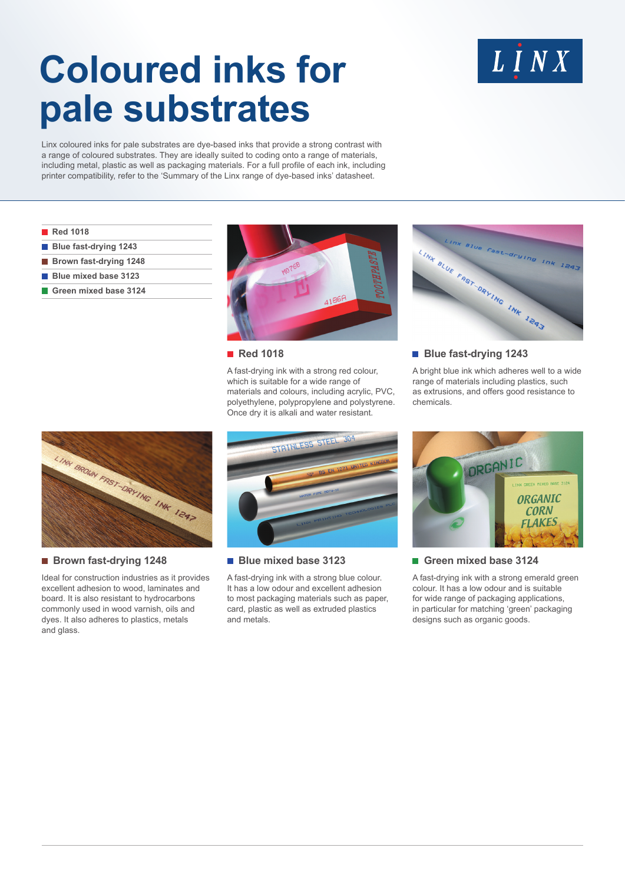# **Coloured inks for pale substrates**

# $L$   $I$   $N$   $X$

Linx coloured inks for pale substrates are dye-based inks that provide a strong contrast with a range of coloured substrates. They are ideally suited to coding onto a range of materials, including metal, plastic as well as packaging materials. For a full profile of each ink, including printer compatibility, refer to the 'Summary of the Linx range of dye-based inks' datasheet.

|  | <b>Red 1018</b> |  |
|--|-----------------|--|
|  |                 |  |

- **Blue fast-drying 1243**
- **Brown fast-drying 1248**
- **Blue mixed base 3123**
- **Green mixed base 3124**





A fast-drying ink with a strong red colour, which is suitable for a wide range of materials and colours, including acrylic, PVC, polyethylene, polypropylene and polystyrene. Once dry it is alkali and water resistant.



**Blue fast-drying 1243** 

A bright blue ink which adheres well to a wide range of materials including plastics, such as extrusions, and offers good resistance to chemicals.



## ■ Brown fast-drying 1248

Ideal for construction industries as it provides excellent adhesion to wood, laminates and board. It is also resistant to hydrocarbons commonly used in wood varnish, oils and dyes. It also adheres to plastics, metals and glass.



#### **Blue mixed base 3123**

A fast-drying ink with a strong blue colour. It has a low odour and excellent adhesion to most packaging materials such as paper, card, plastic as well as extruded plastics and metals.



## **Green mixed base 3124**

A fast-drying ink with a strong emerald green colour. It has a low odour and is suitable for wide range of packaging applications. in particular for matching 'green' packaging designs such as organic goods.